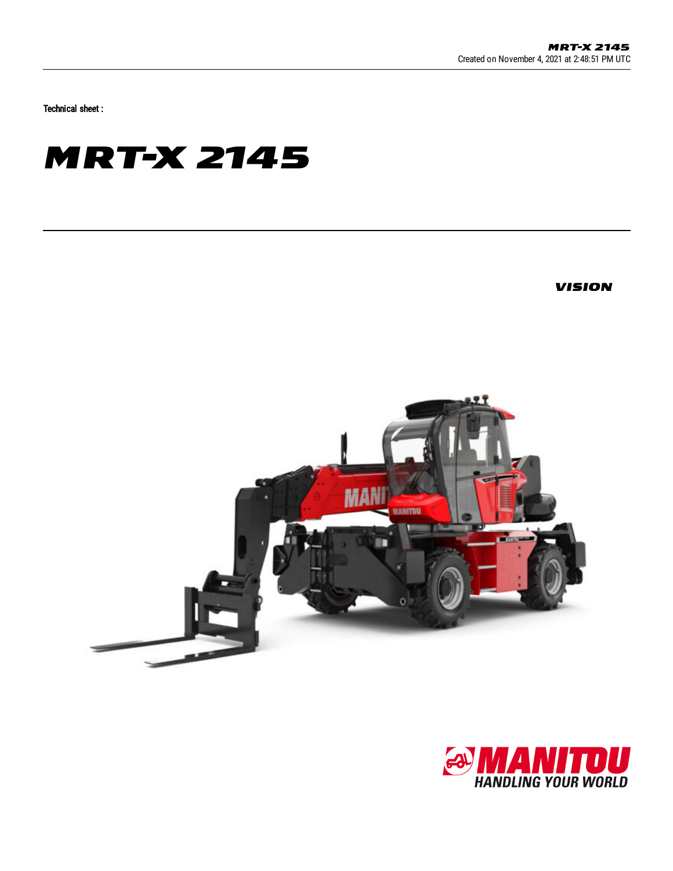Technical sheet :

## **MRT-X 2145**

**VISION** 



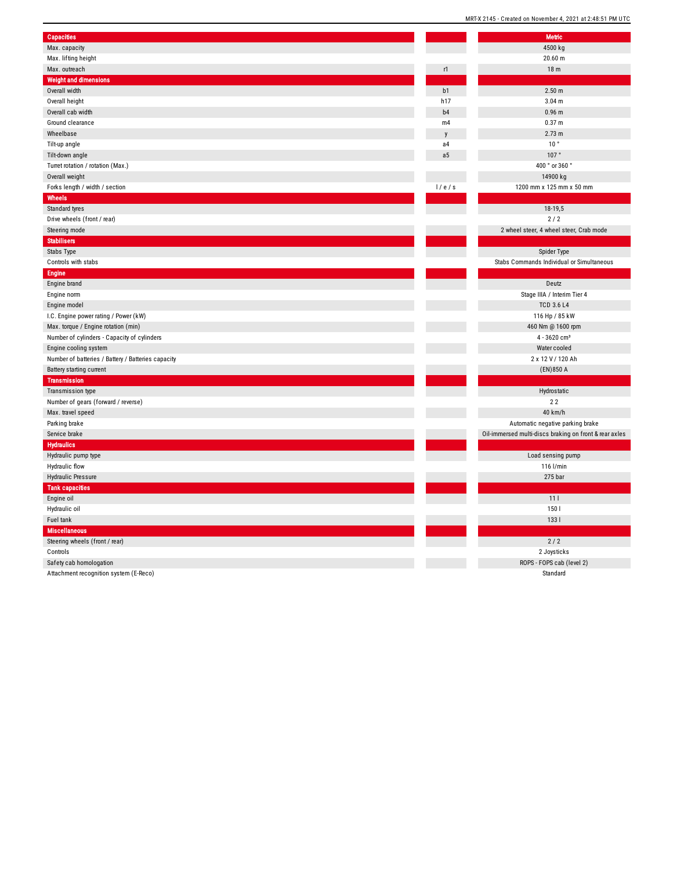|                                                    |                | MRI-X 2145 - Created on November 4 |
|----------------------------------------------------|----------------|------------------------------------|
| <b>Capacities</b>                                  |                | <b>Metric</b>                      |
| Max. capacity                                      |                | 4500 kg                            |
| Max. lifting height                                |                | $20.60 \text{ m}$                  |
| Max. outreach                                      | r1             | 18 <sub>m</sub>                    |
| <b>Weight and dimensions</b>                       |                |                                    |
| Overall width                                      | b1             | 2.50 m                             |
| Overall height                                     | h17            | 3.04 <sub>m</sub>                  |
| Overall cab width                                  | b <sub>4</sub> | 0.96 <sub>m</sub>                  |
| Ground clearance                                   | m4             | 0.37 <sub>m</sub>                  |
| Wheelbase                                          | y              | 2.73 m                             |
| Tilt-up angle                                      | a <sub>4</sub> | 10 <sup>°</sup>                    |
| Tilt-down angle                                    | a <sub>5</sub> | 107°                               |
|                                                    |                | 400 ° or 36                        |
| Turret rotation / rotation (Max.)                  |                | 14900 k                            |
| Overall weight                                     |                |                                    |
| Forks length / width / section                     | 1/e/s          | 1200 mm x 125 m                    |
| Wheels                                             |                |                                    |
| Standard tyres                                     |                | 18-19,5                            |
| Drive wheels (front / rear)                        |                | 2/2                                |
| Steering mode                                      |                | 2 wheel steer, 4 wheel :           |
| <b>Stabilisers</b>                                 |                |                                    |
| Stabs Type                                         |                | Spider Ty                          |
| Controls with stabs                                |                | Stabs Commands Individu            |
| <b>Engine</b>                                      |                |                                    |
| Engine brand                                       |                | Deutz                              |
| Engine norm                                        |                | Stage IIIA / Inter                 |
| Engine model                                       |                | <b>TCD 3.6</b>                     |
| I.C. Engine power rating / Power (kW)              |                | 116 Hp / 8                         |
| Max. torque / Engine rotation (min)                |                | 460 Nm @ 16                        |
| Number of cylinders - Capacity of cylinders        |                | $4 - 3620c$                        |
| Engine cooling system                              |                | Water coo                          |
| Number of batteries / Battery / Batteries capacity |                | 2 x 12 V / 12                      |
| Battery starting current                           |                | (EN)850                            |
| <b>Transmission</b>                                |                |                                    |
| Transmission type                                  |                | Hydrosta <sup>®</sup>              |
| Number of gears (forward / reverse)                |                | 22                                 |
| Max. travel speed                                  |                | 40 km/l                            |
| Parking brake                                      |                | Automatic negative                 |
| Service brake                                      |                | Oil-immersed multi-discs braki     |
| <b>Hydraulics</b>                                  |                |                                    |
| Hydraulic pump type                                |                | Load sensing                       |
| Hydraulic flow                                     |                | 116 l/mi                           |
| <b>Hydraulic Pressure</b>                          |                | 275 ba                             |
| <b>Tank capacities</b>                             |                |                                    |
| Engine oil                                         |                | 111                                |
| Hydraulic oil                                      |                | 150                                |
| Fuel tank                                          |                | 1331                               |
| <b>Miscellaneous</b>                               |                |                                    |
| Steering wheels (front / rear)                     |                | 2/2                                |
| Controls                                           |                | 2 Joystic                          |
| Safety cab homologation                            |                | ROPS - FOPS cal                    |

Attachment recognition system (E-Reco)

|     | <b>Metric</b>                                          |
|-----|--------------------------------------------------------|
|     | 4500 kg                                                |
|     | 20.60 m                                                |
|     | 18 <sub>m</sub>                                        |
|     |                                                        |
| 1   | 2.50 m                                                 |
| 7   | 3.04 <sub>m</sub>                                      |
| 4   | 0.96 m                                                 |
| 4   | 0.37 <sub>m</sub>                                      |
| ľ   | 2.73 m                                                 |
| 4   | 10 <sup>°</sup>                                        |
| 5   | 107°                                                   |
|     | 400 ° or 360 °                                         |
|     | 14900 kg                                               |
| / s | 1200 mm x 125 mm x 50 mm                               |
|     |                                                        |
|     | 18-19,5                                                |
|     | 2/2                                                    |
|     | 2 wheel steer, 4 wheel steer, Crab mode                |
|     |                                                        |
|     | Spider Type                                            |
|     | Stabs Commands Individual or Simultaneous              |
|     |                                                        |
|     | Deutz                                                  |
|     | Stage IIIA / Interim Tier 4                            |
|     | <b>TCD 3.6 L4</b>                                      |
|     | 116 Hp / 85 kW                                         |
|     | 460 Nm @ 1600 rpm                                      |
|     | 4 - 3620 cm <sup>3</sup>                               |
|     | Water cooled                                           |
|     | 2 x 12 V / 120 Ah                                      |
|     | (EN) 850 A                                             |
|     |                                                        |
|     | Hydrostatic                                            |
|     | 22                                                     |
|     | 40 km/h                                                |
|     | Automatic negative parking brake                       |
|     | Oil-immersed multi-discs braking on front & rear axles |
|     |                                                        |
|     | Load sensing pump                                      |
|     | 116 l/min<br>275 bar                                   |
|     |                                                        |
|     | 11 <sub>1</sub>                                        |
|     | 150                                                    |
|     | 133 l                                                  |
|     |                                                        |
|     | 2/2                                                    |
|     | 2 Joysticks                                            |
|     | ROPS - FOPS cab (level 2)                              |
|     | Standard                                               |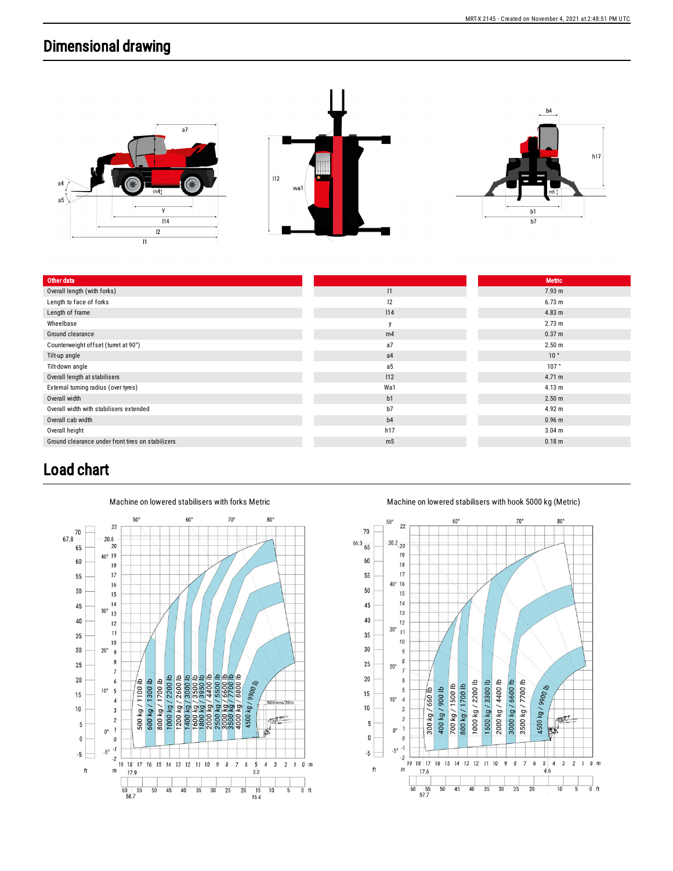## Dimensional drawing



| Other data                                        |                | <b>Metric</b>     |
|---------------------------------------------------|----------------|-------------------|
| Overall length (with forks)                       | 1              | 7.93 m            |
| Length to face of forks                           | 12             | 6.73 m            |
| Length of frame                                   | 114            | 4.83 m            |
| Wheelbase                                         | y              | 2.73 m            |
| Ground clearance                                  | m4             | 0.37 m            |
| Counterweight offset (turret at 90°)              | a7             | 2.50 <sub>m</sub> |
| Tilt-up angle                                     | a4             | 10 <sup>°</sup>   |
| Tilt-down angle                                   | a5             | 107°              |
| Overall length at stabilisers                     | 112            | 4.71 m            |
| External turning radius (over tyres)              | Wa1            | 4.13 m            |
| Overall width                                     | b1             | 2.50 <sub>m</sub> |
| Overall width with stabilisers extended           | b7             | 4.92 m            |
| Overall cab width                                 | b4             | 0.96 <sub>m</sub> |
| Overall height                                    | h17            | 3.04 <sub>m</sub> |
| Ground clearance under front tires on stabilizers | m <sub>5</sub> | 0.18 <sub>m</sub> |
|                                                   |                |                   |

## Load chart



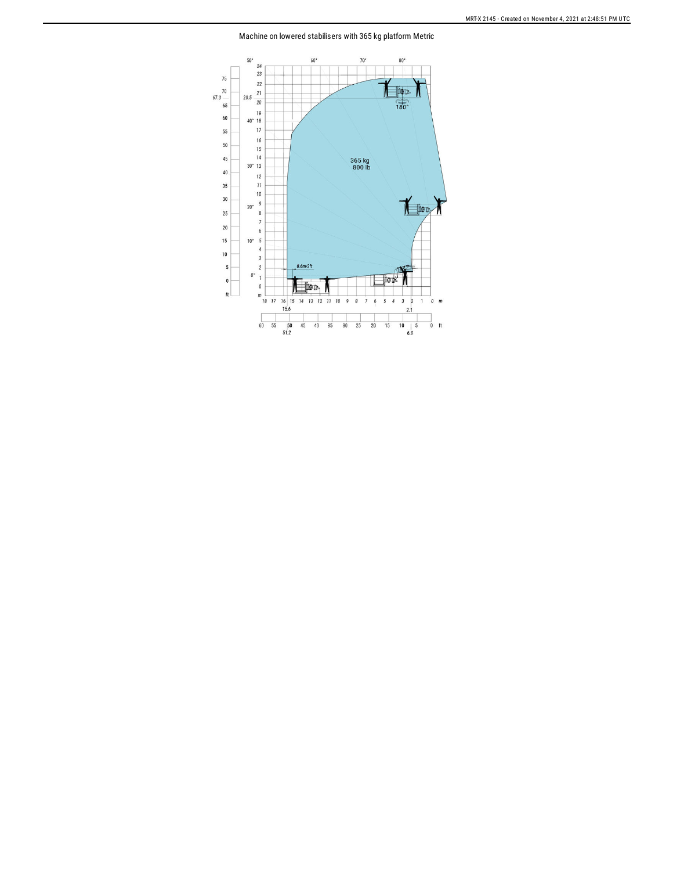Machine on lowered stabilisers with 365 kg platform Metric